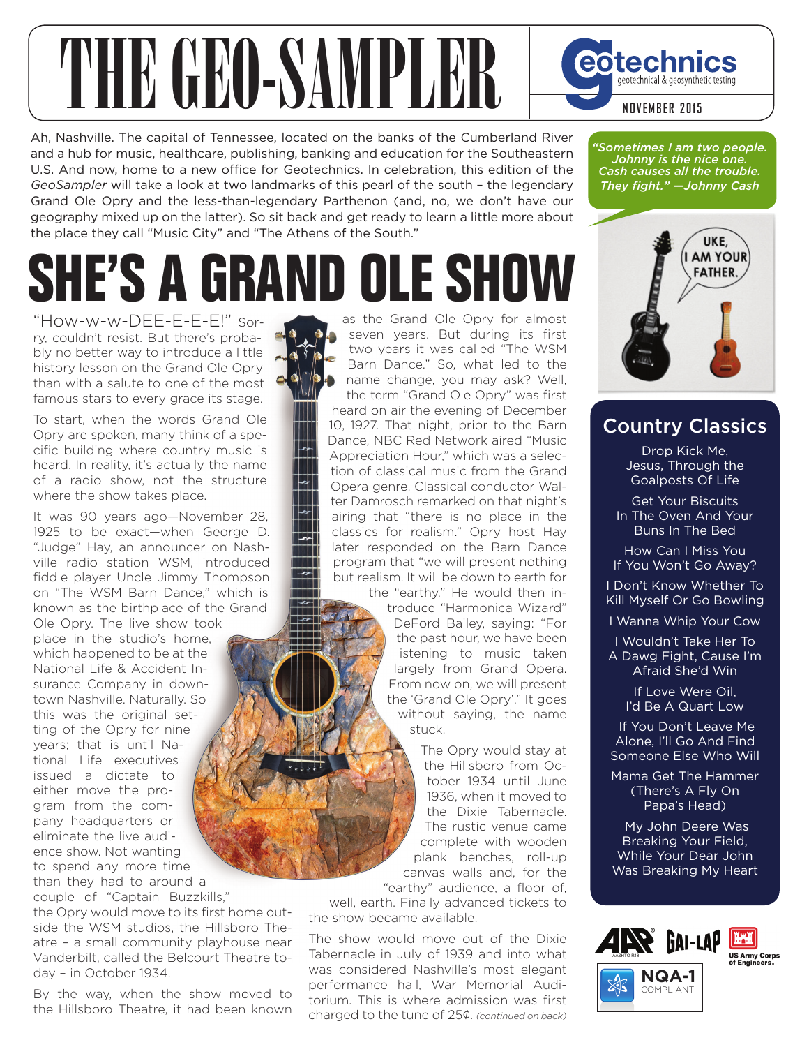## THE GUID SAMPLER COTEChnics

Ah, Nashville. The capital of Tennessee, located on the banks of the Cumberland River and a hub for music, healthcare, publishing, banking and education for the Southeastern U.S. And now, home to a new office for Geotechnics. In celebration, this edition of the *GeoSampler* will take a look at two landmarks of this pearl of the south – the legendary Grand Ole Opry and the less-than-legendary Parthenon (and, no, we don't have our geography mixed up on the latter). So sit back and get ready to learn a little more about the place they call "Music City" and "The Athens of the South."

## **SHE'S A GRAND OLE SHOW**

 $\mathbb{R}^+$ 

 $\blacktriangleright$ 

 $\rightarrow$ W

 $\overline{\phantom{a}}$ 

"How-w-w-DEE-E-E-E!" Sorry, couldn't resist. But there's probably no better way to introduce a little history lesson on the Grand Ole Opry than with a salute to one of the most famous stars to every grace its stage.

To start, when the words Grand Ole Opry are spoken, many think of a specific building where country music is heard. In reality, it's actually the name of a radio show, not the structure where the show takes place.

It was 90 years ago—November 28, 1925 to be exact—when George D. "Judge" Hay, an announcer on Nashville radio station WSM, introduced fiddle player Uncle Jimmy Thompson on "The WSM Barn Dance," which is known as the birthplace of the Grand

Ole Opry. The live show took place in the studio's home, which happened to be at the National Life & Accident Insurance Company in downtown Nashville. Naturally. So this was the original setting of the Opry for nine years; that is until National Life executives issued a dictate to either move the program from the company headquarters or eliminate the live audience show. Not wanting to spend any more time than they had to around a

couple of "Captain Buzzkills,"

the Opry would move to its first home outside the WSM studios, the Hillsboro Theatre – a small community playhouse near Vanderbilt, called the Belcourt Theatre today – in October 1934.

By the way, when the show moved to the Hillsboro Theatre, it had been known

as the Grand Ole Opry for almost seven years. But during its first two years it was called "The WSM Barn Dance." So, what led to the name change, you may ask? Well, the term "Grand Ole Opry" was first heard on air the evening of December 10, 1927. That night, prior to the Barn Dance, NBC Red Network aired "Music Appreciation Hour," which was a selection of classical music from the Grand Opera genre. Classical conductor Walter Damrosch remarked on that night's airing that "there is no place in the classics for realism." Opry host Hay later responded on the Barn Dance program that "we will present nothing but realism. It will be down to earth for the "earthy." He would then in-

troduce "Harmonica Wizard" DeFord Bailey, saying: "For the past hour, we have been listening to music taken largely from Grand Opera. From now on, we will present the 'Grand Ole Opry'." It goes without saying, the name stuck.

The Opry would stay at the Hillsboro from October 1934 until June 1936, when it moved to the Dixie Tabernacle. The rustic venue came complete with wooden plank benches, roll-up canvas walls and, for the "earthy" audience, a floor of,

well, earth. Finally advanced tickets to the show became available.

The show would move out of the Dixie Tabernacle in July of 1939 and into what was considered Nashville's most elegant performance hall, War Memorial Auditorium. This is where admission was first charged to the tune of 25¢. *(continued on back)*

*"Sometimes I am two people. Johnny is the nice one. Cash causes all the trouble. They fight." —Johnny Cash*



## Country Classics

Drop Kick Me, Jesus, Through the Goalposts Of Life

Get Your Biscuits In The Oven And Your Buns In The Bed

How Can I Miss You If You Won't Go Away?

I Don't Know Whether To Kill Myself Or Go Bowling

I Wanna Whip Your Cow

I Wouldn't Take Her To A Dawg Fight, Cause I'm Afraid She'd Win

> If Love Were Oil, I'd Be A Quart Low

 If You Don't Leave Me Alone, I'll Go And Find Someone Else Who Will

Mama Get The Hammer (There's A Fly On Papa's Head)

 My John Deere Was Breaking Your Field, While Your Dear John Was Breaking My Heart